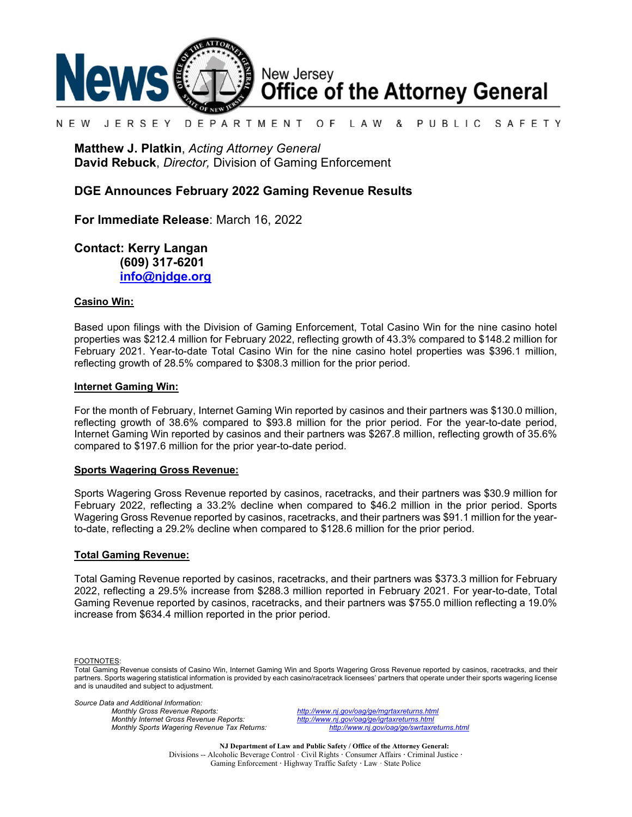

#### N F W JFRSFY DEPARTMENT O F L A W & PUBLIC SAFETY

**Matthew J. Platkin**, *Acting Attorney General* **David Rebuck**, *Director,* Division of Gaming Enforcement

### **DGE Announces February 2022 Gaming Revenue Results**

**For Immediate Release**: March 16, 2022

**Contact: Kerry Langan (609) 317-6201 [info@njdge.org](mailto:info@njdge.org)**

### **Casino Win:**

Based upon filings with the Division of Gaming Enforcement, Total Casino Win for the nine casino hotel properties was \$212.4 million for February 2022, reflecting growth of 43.3% compared to \$148.2 million for February 2021. Year-to-date Total Casino Win for the nine casino hotel properties was \$396.1 million, reflecting growth of 28.5% compared to \$308.3 million for the prior period.

### **Internet Gaming Win:**

For the month of February, Internet Gaming Win reported by casinos and their partners was \$130.0 million, reflecting growth of 38.6% compared to \$93.8 million for the prior period. For the year-to-date period, Internet Gaming Win reported by casinos and their partners was \$267.8 million, reflecting growth of 35.6% compared to \$197.6 million for the prior year-to-date period.

#### **Sports Wagering Gross Revenue:**

Sports Wagering Gross Revenue reported by casinos, racetracks, and their partners was \$30.9 million for February 2022, reflecting a 33.2% decline when compared to \$46.2 million in the prior period. Sports Wagering Gross Revenue reported by casinos, racetracks, and their partners was \$91.1 million for the yearto-date, reflecting a 29.2% decline when compared to \$128.6 million for the prior period.

#### **Total Gaming Revenue:**

Total Gaming Revenue reported by casinos, racetracks, and their partners was \$373.3 million for February 2022, reflecting a 29.5% increase from \$288.3 million reported in February 2021. For year-to-date, Total Gaming Revenue reported by casinos, racetracks, and their partners was \$755.0 million reflecting a 19.0% increase from \$634.4 million reported in the prior period.

FOOTNOTES:

*Source Data and Additional Information:*

*Monthly Gross Revenue Reports: <http://www.nj.gov/oag/ge/mgrtaxreturns.html> Monthly Sports Wagering Revenue Tax Returns:* 

*Monthly Internet Gross Revenue Reports: <http://www.nj.gov/oag/ge/igrtaxreturns.html>*

**NJ Department of Law and Public Safety / Office of the Attorney General:** Divisions -- Alcoholic Beverage Control · Civil Rights **·** Consumer Affairs **·** Criminal Justice **·**  Gaming Enforcement **·** Highway Traffic Safety **·** Law · State Police

Total Gaming Revenue consists of Casino Win, Internet Gaming Win and Sports Wagering Gross Revenue reported by casinos, racetracks, and their partners. Sports wagering statistical information is provided by each casino/racetrack licensees' partners that operate under their sports wagering license and is unaudited and subject to adjustment.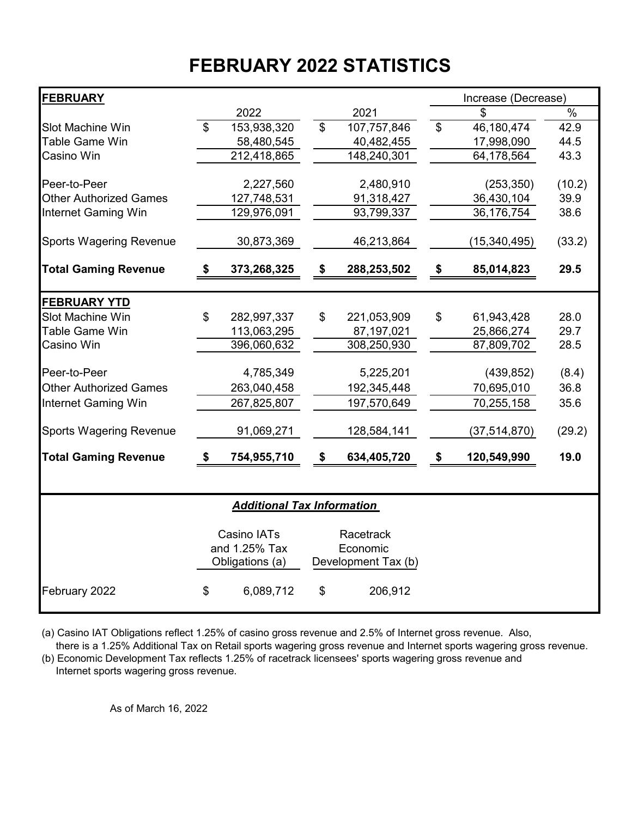# **FEBRUARY 2022 STATISTICS**

| <b>FEBRUARY</b>                |                   |                                   |                          |                     |                | Increase (Decrease) |               |  |  |  |
|--------------------------------|-------------------|-----------------------------------|--------------------------|---------------------|----------------|---------------------|---------------|--|--|--|
|                                |                   | 2022                              |                          | 2021                |                | \$                  | $\frac{1}{2}$ |  |  |  |
| Slot Machine Win               | $\mathfrak{S}$    | 153,938,320                       | $\overline{\mathcal{S}}$ | 107,757,846         | $\mathfrak{S}$ | 46,180,474          | 42.9          |  |  |  |
| Table Game Win                 |                   | 58,480,545                        |                          | 40,482,455          |                | 17,998,090          | 44.5          |  |  |  |
| Casino Win                     |                   | 212,418,865                       |                          | 148,240,301         |                | 64,178,564          | 43.3          |  |  |  |
|                                |                   |                                   |                          |                     |                |                     |               |  |  |  |
| Peer-to-Peer                   |                   | 2,227,560                         |                          | 2,480,910           |                | (253, 350)          | (10.2)        |  |  |  |
| <b>Other Authorized Games</b>  |                   | 127,748,531                       |                          | 91,318,427          |                | 36,430,104          | 39.9          |  |  |  |
| <b>Internet Gaming Win</b>     |                   | 129,976,091                       |                          | 93,799,337          |                | 36,176,754          | 38.6          |  |  |  |
| <b>Sports Wagering Revenue</b> |                   | 30,873,369                        |                          | 46,213,864          |                | (15, 340, 495)      | (33.2)        |  |  |  |
| <b>Total Gaming Revenue</b>    | $\boldsymbol{\$}$ | 373,268,325                       | \$                       | 288,253,502         | \$             | 85,014,823          | 29.5          |  |  |  |
|                                |                   |                                   |                          |                     |                |                     |               |  |  |  |
| <b>FEBRUARY YTD</b>            |                   |                                   |                          |                     |                |                     |               |  |  |  |
| Slot Machine Win               | \$                | 282,997,337                       | \$                       | 221,053,909         | \$             | 61,943,428          | 28.0          |  |  |  |
| <b>Table Game Win</b>          |                   | 113,063,295                       |                          | 87,197,021          |                | 25,866,274          | 29.7          |  |  |  |
| Casino Win                     |                   | 396,060,632                       |                          | 308,250,930         |                | 87,809,702          | 28.5          |  |  |  |
| Peer-to-Peer                   |                   | 4,785,349                         |                          | 5,225,201           |                | (439, 852)          | (8.4)         |  |  |  |
| <b>Other Authorized Games</b>  |                   | 263,040,458                       |                          | 192,345,448         |                | 70,695,010          | 36.8          |  |  |  |
| Internet Gaming Win            |                   | 267,825,807                       |                          | 197,570,649         |                | 70,255,158          | 35.6          |  |  |  |
| <b>Sports Wagering Revenue</b> |                   | 91,069,271                        |                          | 128,584,141         |                | (37, 514, 870)      | (29.2)        |  |  |  |
| <b>Total Gaming Revenue</b>    | \$                | 754,955,710                       | \$                       | 634,405,720         | \$             | 120,549,990         | 19.0          |  |  |  |
|                                |                   |                                   |                          |                     |                |                     |               |  |  |  |
|                                |                   | <b>Additional Tax Information</b> |                          |                     |                |                     |               |  |  |  |
| Casino IATs<br>Racetrack       |                   |                                   |                          |                     |                |                     |               |  |  |  |
|                                |                   | and 1.25% Tax                     |                          | Economic            |                |                     |               |  |  |  |
|                                |                   | Obligations (a)                   |                          | Development Tax (b) |                |                     |               |  |  |  |
| February 2022                  | \$                | 6,089,712                         | \$                       | 206,912             |                |                     |               |  |  |  |

(a) Casino IAT Obligations reflect 1.25% of casino gross revenue and 2.5% of Internet gross revenue. Also,

 there is a 1.25% Additional Tax on Retail sports wagering gross revenue and Internet sports wagering gross revenue. (b) Economic Development Tax reflects 1.25% of racetrack licensees' sports wagering gross revenue and

Internet sports wagering gross revenue.

As of March 16, 2022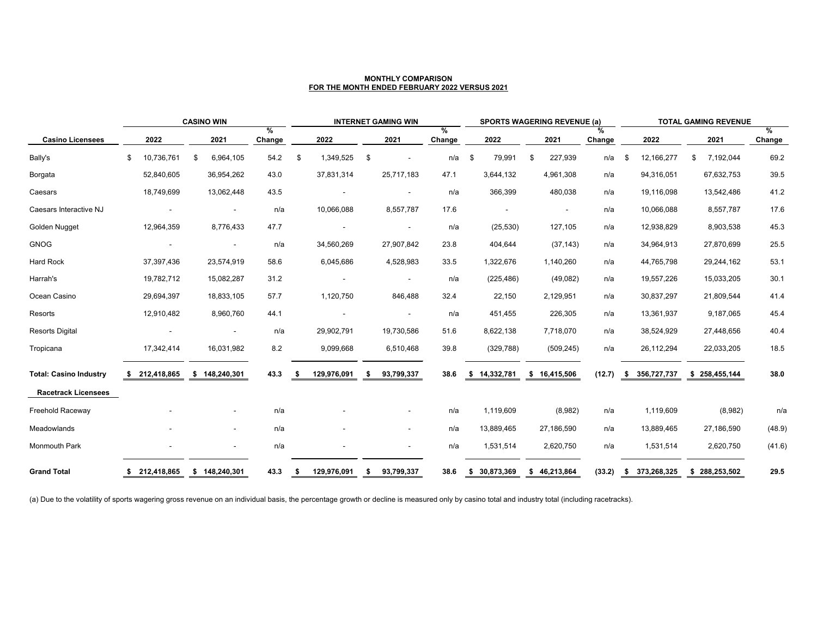|                               | <b>CASINO WIN</b> |             |    |                          | <b>INTERNET GAMING WIN</b> |     |             |                           |                          | <b>SPORTS WAGERING REVENUE (a)</b> |                            |              |    |              | <b>TOTAL GAMING REVENUE</b> |    |               |    |               |                |
|-------------------------------|-------------------|-------------|----|--------------------------|----------------------------|-----|-------------|---------------------------|--------------------------|------------------------------------|----------------------------|--------------|----|--------------|-----------------------------|----|---------------|----|---------------|----------------|
| <b>Casino Licensees</b>       |                   | 2022        |    | 2021                     | %<br>Change                |     | 2022        |                           | 2021                     | %<br>Change                        |                            | 2022         |    | 2021         | %<br>Change                 |    | 2022          |    | 2021          | $\%$<br>Change |
| Bally's                       | \$                | 10,736,761  | \$ | 6,964,105                | 54.2                       | \$  | 1,349,525   | \$                        | $\sim$                   | n/a                                | $\boldsymbol{\mathcal{F}}$ | 79,991       | \$ | 227,939      | n/a                         | \$ | 12,166,277    | \$ | 7,192,044     | 69.2           |
| Borgata                       |                   | 52,840,605  |    | 36,954,262               | 43.0                       |     | 37,831,314  |                           | 25,717,183               | 47.1                               |                            | 3,644,132    |    | 4,961,308    | n/a                         |    | 94,316,051    |    | 67,632,753    | 39.5           |
| Caesars                       |                   | 18,749,699  |    | 13,062,448               | 43.5                       |     |             |                           | $\overline{\phantom{a}}$ | n/a                                |                            | 366,399      |    | 480,038      | n/a                         |    | 19,116,098    |    | 13,542,486    | 41.2           |
| Caesars Interactive NJ        |                   |             |    | $\overline{\phantom{a}}$ | n/a                        |     | 10,066,088  |                           | 8,557,787                | 17.6                               |                            |              |    |              | n/a                         |    | 10,066,088    |    | 8,557,787     | 17.6           |
| Golden Nugget                 |                   | 12,964,359  |    | 8,776,433                | 47.7                       |     |             |                           | $\sim$                   | n/a                                |                            | (25, 530)    |    | 127,105      | n/a                         |    | 12,938,829    |    | 8,903,538     | 45.3           |
| <b>GNOG</b>                   |                   |             |    | $\blacksquare$           | n/a                        |     | 34,560,269  |                           | 27,907,842               | 23.8                               |                            | 404,644      |    | (37, 143)    | n/a                         |    | 34,964,913    |    | 27,870,699    | 25.5           |
| <b>Hard Rock</b>              |                   | 37,397,436  |    | 23,574,919               | 58.6                       |     | 6,045,686   |                           | 4,528,983                | 33.5                               |                            | 1,322,676    |    | 1,140,260    | n/a                         |    | 44,765,798    |    | 29,244,162    | 53.1           |
| Harrah's                      |                   | 19,782,712  |    | 15,082,287               | 31.2                       |     |             |                           | $\sim$                   | n/a                                |                            | (225, 486)   |    | (49,082)     | n/a                         |    | 19,557,226    |    | 15,033,205    | 30.1           |
| Ocean Casino                  |                   | 29,694,397  |    | 18,833,105               | 57.7                       |     | 1,120,750   |                           | 846,488                  | 32.4                               |                            | 22,150       |    | 2,129,951    | n/a                         |    | 30,837,297    |    | 21,809,544    | 41.4           |
| Resorts                       |                   | 12,910,482  |    | 8,960,760                | 44.1                       |     |             |                           | $\sim$                   | n/a                                |                            | 451,455      |    | 226,305      | n/a                         |    | 13,361,937    |    | 9,187,065     | 45.4           |
| <b>Resorts Digital</b>        |                   |             |    |                          | n/a                        |     | 29,902,791  |                           | 19,730,586               | 51.6                               |                            | 8,622,138    |    | 7,718,070    | n/a                         |    | 38,524,929    |    | 27,448,656    | 40.4           |
| Tropicana                     |                   | 17,342,414  |    | 16,031,982               | 8.2                        |     | 9,099,668   |                           | 6,510,468                | 39.8                               |                            | (329, 788)   |    | (509, 245)   | n/a                         |    | 26,112,294    |    | 22,033,205    | 18.5           |
| <b>Total: Casino Industry</b> |                   | 212,418,865 |    | \$148,240,301            | 43.3                       |     | 129,976,091 | \$                        | 93,799,337               | 38.6                               |                            | \$14,332,781 |    | \$16,415,506 | (12.7)                      |    | \$356,727,737 |    | \$258,455,144 | 38.0           |
| <b>Racetrack Licensees</b>    |                   |             |    |                          |                            |     |             |                           |                          |                                    |                            |              |    |              |                             |    |               |    |               |                |
| <b>Freehold Raceway</b>       |                   |             |    |                          | n/a                        |     |             |                           |                          | n/a                                |                            | 1,119,609    |    | (8,982)      | n/a                         |    | 1,119,609     |    | (8,982)       | n/a            |
| Meadowlands                   |                   |             |    | $\sim$                   | n/a                        |     |             |                           | $\overline{\phantom{a}}$ | n/a                                |                            | 13,889,465   |    | 27,186,590   | n/a                         |    | 13,889,465    |    | 27,186,590    | (48.9)         |
| <b>Monmouth Park</b>          |                   | $\sim$      |    | $\sim$                   | n/a                        |     |             |                           | $\overline{\phantom{a}}$ | n/a                                |                            | 1,531,514    |    | 2,620,750    | n/a                         |    | 1,531,514     |    | 2,620,750     | (41.6)         |
| <b>Grand Total</b>            | - 55              | 212,418,865 |    | \$148,240,301            | 43.3                       | - 5 | 129,976,091 | $\boldsymbol{\mathsf{s}}$ | 93,799,337               | 38.6                               | \$                         | 30,873,369   |    | \$46,213,864 | (33.2)                      |    | \$373,268,325 |    | \$288,253,502 | 29.5           |

(a) Due to the volatility of sports wagering gross revenue on an individual basis, the percentage growth or decline is measured only by casino total and industry total (including racetracks).

### **MONTHLY COMPARISON FOR THE MONTH ENDED FEBRUARY 2022 VERSUS 2021**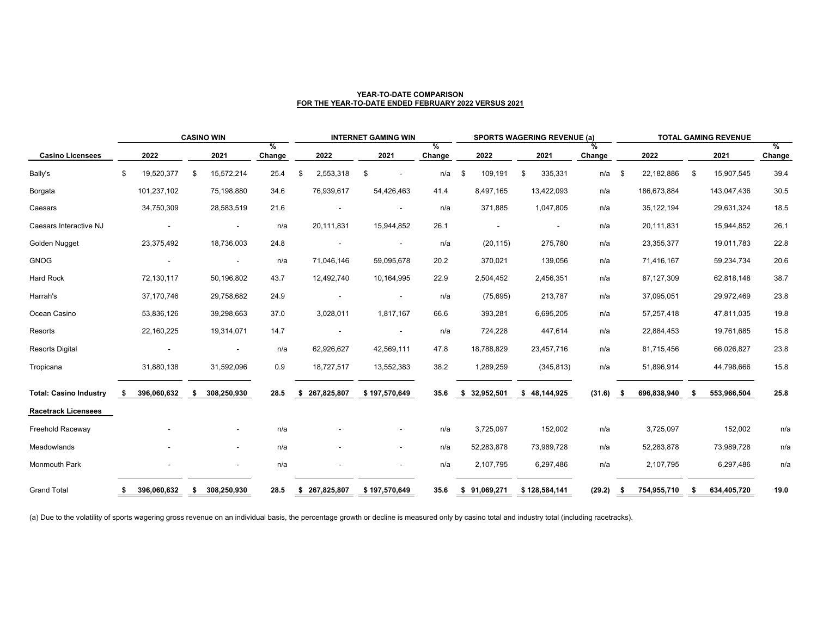|                               |     | <b>CASINO WIN</b> |    |             |                                |     | <b>INTERNET GAMING WIN</b> |                                |                    |    | <b>SPORTS WAGERING REVENUE (a)</b> |                          |                |             | <b>TOTAL GAMING REVENUE</b> |    |             |                       |  |
|-------------------------------|-----|-------------------|----|-------------|--------------------------------|-----|----------------------------|--------------------------------|--------------------|----|------------------------------------|--------------------------|----------------|-------------|-----------------------------|----|-------------|-----------------------|--|
| <b>Casino Licensees</b>       |     | 2022              |    | 2021        | $\frac{0}{0}$<br><b>Change</b> |     | 2022                       | 2021                           | %<br><b>Change</b> |    | 2022                               | 2021                     | $\%$<br>Change |             | 2022                        |    | 2021        | $\%$<br><b>Change</b> |  |
| Bally's                       | \$  | 19,520,377        | \$ | 15,572,214  | 25.4                           | -\$ | 2,553,318                  | \$<br>$\overline{\phantom{a}}$ | n/a                | \$ | 109,191                            | 335,331<br>\$            |                | n/a<br>\$   | 22,182,886                  | \$ | 15,907,545  | 39.4                  |  |
| Borgata                       |     | 101,237,102       |    | 75,198,880  | 34.6                           |     | 76,939,617                 | 54,426,463                     | 41.4               |    | 8,497,165                          | 13,422,093               | n/a            |             | 186,673,884                 |    | 143,047,436 | 30.5                  |  |
| Caesars                       |     | 34,750,309        |    | 28,583,519  | 21.6                           |     | $\overline{\phantom{a}}$   | $\overline{\phantom{a}}$       | n/a                |    | 371,885                            | 1,047,805                | n/a            |             | 35, 122, 194                |    | 29,631,324  | 18.5                  |  |
| Caesars Interactive NJ        |     |                   |    | $\sim$      | n/a                            |     | 20,111,831                 | 15,944,852                     | 26.1               |    |                                    | $\overline{\phantom{a}}$ | n/a            |             | 20,111,831                  |    | 15,944,852  | 26.1                  |  |
| Golden Nugget                 |     | 23,375,492        |    | 18,736,003  | 24.8                           |     | $\sim$                     |                                | n/a                |    | (20, 115)                          | 275,780                  | n/a            |             | 23,355,377                  |    | 19,011,783  | 22.8                  |  |
| <b>GNOG</b>                   |     |                   |    | $\sim$      | n/a                            |     | 71,046,146                 | 59,095,678                     | 20.2               |    | 370,021                            | 139,056                  | n/a            |             | 71,416,167                  |    | 59,234,734  | 20.6                  |  |
| <b>Hard Rock</b>              |     | 72,130,117        |    | 50,196,802  | 43.7                           |     | 12,492,740                 | 10,164,995                     | 22.9               |    | 2,504,452                          | 2,456,351                | n/a            |             | 87,127,309                  |    | 62,818,148  | 38.7                  |  |
| Harrah's                      |     | 37,170,746        |    | 29,758,682  | 24.9                           |     |                            | $\overline{\phantom{a}}$       | n/a                |    | (75, 695)                          | 213,787                  | n/a            |             | 37,095,051                  |    | 29,972,469  | 23.8                  |  |
| Ocean Casino                  |     | 53,836,126        |    | 39,298,663  | 37.0                           |     | 3,028,011                  | 1,817,167                      | 66.6               |    | 393,281                            | 6,695,205                | n/a            |             | 57,257,418                  |    | 47,811,035  | 19.8                  |  |
| Resorts                       |     | 22,160,225        |    | 19,314,071  | 14.7                           |     |                            |                                | n/a                |    | 724,228                            | 447,614                  | n/a            |             | 22,884,453                  |    | 19,761,685  | 15.8                  |  |
| <b>Resorts Digital</b>        |     |                   |    | $\sim$      | n/a                            |     | 62,926,627                 | 42,569,111                     | 47.8               |    | 18,788,829                         | 23,457,716               | n/a            |             | 81,715,456                  |    | 66,026,827  | 23.8                  |  |
| Tropicana                     |     | 31,880,138        |    | 31,592,096  | 0.9                            |     | 18,727,517                 | 13,552,383                     | 38.2               |    | 1,289,259                          | (345, 813)               | n/a            |             | 51,896,914                  |    | 44,798,666  | 15.8                  |  |
| <b>Total: Casino Industry</b> | -SS | 396,060,632       | \$ | 308,250,930 | 28.5                           |     | \$ 267,825,807             | \$197,570,649                  | 35.6               |    | \$32,952,501                       | \$48,144,925             | (31.6)         | $\bullet$   | 696,838,940                 | \$ | 553,966,504 | 25.8                  |  |
| <b>Racetrack Licensees</b>    |     |                   |    |             |                                |     |                            |                                |                    |    |                                    |                          |                |             |                             |    |             |                       |  |
| <b>Freehold Raceway</b>       |     |                   |    | $\sim$      | n/a                            |     |                            | $\sim$                         | n/a                |    | 3,725,097                          | 152,002                  | n/a            |             | 3,725,097                   |    | 152,002     | n/a                   |  |
| Meadowlands                   |     |                   |    | $\sim$      | n/a                            |     | $\overline{\phantom{a}}$   | $\blacksquare$                 | n/a                |    | 52,283,878                         | 73,989,728               | n/a            |             | 52,283,878                  |    | 73,989,728  | n/a                   |  |
| <b>Monmouth Park</b>          |     |                   |    | $\sim$      | n/a                            |     | $\sim$                     | $\sim$                         | n/a                |    | 2,107,795                          | 6,297,486                | n/a            |             | 2,107,795                   |    | 6,297,486   | n/a                   |  |
| <b>Grand Total</b>            | S,  | 396,060,632       | \$ | 308,250,930 | 28.5                           |     | \$ 267,825,807             | \$ 197,570,649                 | 35.6               |    | \$ 91,069,271                      | \$ 128,584,141           |                | $(29.2)$ \$ | 754,955,710 \$              |    | 634,405,720 | 19.0                  |  |

(a) Due to the volatility of sports wagering gross revenue on an individual basis, the percentage growth or decline is measured only by casino total and industry total (including racetracks).

### **YEAR-TO-DATE COMPARISON FOR THE YEAR-TO-DATE ENDED FEBRUARY 2022 VERSUS 2021**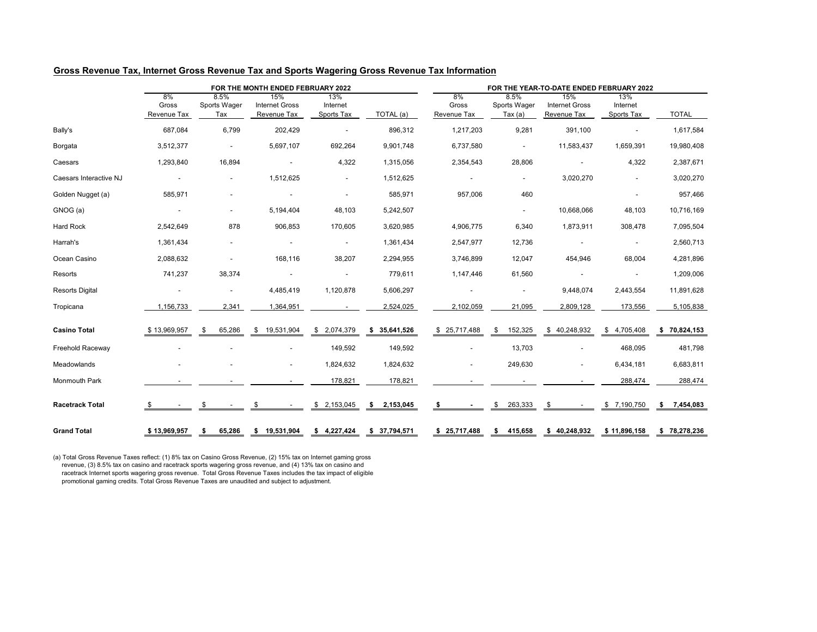## **Gross Revenue Tax, Internet Gross Revenue Tax and Sports Wagering Gross Revenue Tax Information**

|                               |                                   |                             | FOR THE MONTH ENDED FEBRUARY 2022           |                               |                 | FOR THE YEAR-TO-DATE ENDED FEBRUARY 2022 |                                         |                                                    |                               |                 |  |  |  |  |
|-------------------------------|-----------------------------------|-----------------------------|---------------------------------------------|-------------------------------|-----------------|------------------------------------------|-----------------------------------------|----------------------------------------------------|-------------------------------|-----------------|--|--|--|--|
|                               | 8%<br>Gross<br><b>Revenue Tax</b> | 8.5%<br>Sports Wager<br>Tax | 15%<br><b>Internet Gross</b><br>Revenue Tax | 13%<br>Internet<br>Sports Tax | TOTAL (a)       | 8%<br>Gross<br><b>Revenue Tax</b>        | 8.5%<br>Sports Wager<br>T <u>ax (a)</u> | 15%<br><b>Internet Gross</b><br><b>Revenue Tax</b> | 13%<br>Internet<br>Sports Tax | <b>TOTAL</b>    |  |  |  |  |
| Bally's                       | 687,084                           | 6,799                       | 202,429                                     | $\overline{\phantom{a}}$      | 896,312         | 1,217,203                                | 9,281                                   | 391,100                                            |                               | 1,617,584       |  |  |  |  |
| Borgata                       | 3,512,377                         | $\blacksquare$              | 5,697,107                                   | 692,264                       | 9,901,748       | 6,737,580                                | $\overline{\phantom{a}}$                | 11,583,437                                         | 1,659,391                     | 19,980,408      |  |  |  |  |
| Caesars                       | 1,293,840                         | 16,894                      |                                             | 4,322                         | 1,315,056       | 2,354,543                                | 28,806                                  |                                                    | 4,322                         | 2,387,671       |  |  |  |  |
| <b>Caesars Interactive NJ</b> | $\overline{\phantom{a}}$          | $\blacksquare$              | 1,512,625                                   | $\sim$                        | 1,512,625       |                                          | ٠                                       | 3,020,270                                          |                               | 3,020,270       |  |  |  |  |
| Golden Nugget (a)             | 585,971                           | $\overline{\phantom{a}}$    | $\overline{\phantom{0}}$                    | $\overline{\phantom{a}}$      | 585,971         | 957,006                                  | 460                                     |                                                    |                               | 957,466         |  |  |  |  |
| GNOG (a)                      | $\sim$                            | $\sim$                      | 5,194,404                                   | 48,103                        | 5,242,507       |                                          | $\sim$                                  | 10,668,066                                         | 48,103                        | 10,716,169      |  |  |  |  |
| <b>Hard Rock</b>              | 2,542,649                         | 878                         | 906,853                                     | 170,605                       | 3,620,985       | 4,906,775                                | 6,340                                   | 1,873,911                                          | 308,478                       | 7,095,504       |  |  |  |  |
| Harrah's                      | 1,361,434                         | $\blacksquare$              |                                             | $\overline{\phantom{a}}$      | 1,361,434       | 2,547,977                                | 12,736                                  |                                                    | $\blacksquare$                | 2,560,713       |  |  |  |  |
| Ocean Casino                  | 2,088,632                         | $\overline{\phantom{a}}$    | 168,116                                     | 38,207                        | 2,294,955       | 3,746,899                                | 12,047                                  | 454,946                                            | 68,004                        | 4,281,896       |  |  |  |  |
| Resorts                       | 741,237                           | 38,374                      |                                             |                               | 779,611         | 1,147,446                                | 61,560                                  |                                                    |                               | 1,209,006       |  |  |  |  |
| <b>Resorts Digital</b>        | $\sim$                            | $\overline{\phantom{a}}$    | 4,485,419                                   | 1,120,878                     | 5,606,297       |                                          | $\overline{\phantom{a}}$                | 9,448,074                                          | 2,443,554                     | 11,891,628      |  |  |  |  |
| Tropicana                     | 1,156,733                         | 2,341                       | 1,364,951                                   |                               | 2,524,025       | 2,102,059                                | 21,095                                  | 2,809,128                                          | 173,556                       | 5,105,838       |  |  |  |  |
| <b>Casino Total</b>           | \$13,969,957                      | 65,286<br>\$                | \$19,531,904                                | \$2,074,379                   | \$35,641,526    | \$25,717,488                             | 152,325<br>\$                           | \$40,248,932                                       | \$4,705,408                   | \$70,824,153    |  |  |  |  |
| <b>Freehold Raceway</b>       |                                   |                             |                                             | 149,592                       | 149,592         |                                          | 13,703                                  |                                                    | 468,095                       | 481,798         |  |  |  |  |
| Meadowlands                   |                                   |                             | $\sim$                                      | 1,824,632                     | 1,824,632       |                                          | 249,630                                 |                                                    | 6,434,181                     | 6,683,811       |  |  |  |  |
| <b>Monmouth Park</b>          |                                   |                             |                                             | 178,821                       | 178,821         |                                          |                                         |                                                    | 288,474                       | 288,474         |  |  |  |  |
| <b>Racetrack Total</b>        |                                   | \$                          | \$                                          | \$2,153,045                   | 2,153,045<br>\$ | \$                                       | 263,333<br>\$                           | \$                                                 | \$7,190,750                   | 7,454,083<br>\$ |  |  |  |  |
| <b>Grand Total</b>            | \$13,969,957                      | 65,286<br>S.                | \$ 19,531,904                               | \$4,227,424                   | \$37,794,571    | \$25,717,488                             | 415,658<br>\$                           | \$40,248,932                                       | \$11,896,158                  | \$78,278,236    |  |  |  |  |

(a) Total Gross Revenue Taxes reflect: (1) 8% tax on Casino Gross Revenue, (2) 15% tax on Internet gaming gross revenue, (3) 8.5% tax on casino and racetrack sports wagering gross revenue, and (4) 13% tax on casino and racetrack Internet sports wagering gross revenue. Total Gross Revenue Taxes includes the tax impact of eligible promotional gaming credits. Total Gross Revenue Taxes are unaudited and subject to adjustment.